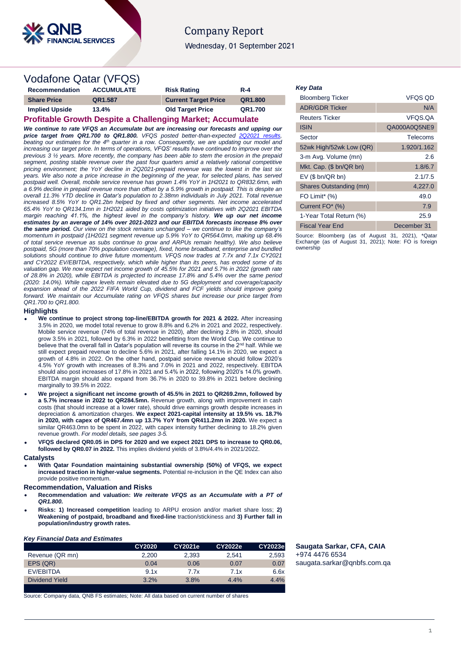

# **Company Report** Wednesday, 01 September 2021

# Vodafone Qatar (VFQS)

| Recommendation                                                    | <b>ACCUMULATE</b> | <b>Risk Rating</b>          | $R - 4$ |  |  |
|-------------------------------------------------------------------|-------------------|-----------------------------|---------|--|--|
| <b>Share Price</b>                                                | QR1.587           | <b>Current Target Price</b> | QR1.800 |  |  |
| <b>Implied Upside</b>                                             | 13.4%             | <b>Old Target Price</b>     | QR1.700 |  |  |
| <b>Profitable Growth Despite a Challenging Market; Accumulate</b> |                   |                             |         |  |  |

*We continue to rate VFQS an Accumulate but are increasing our forecasts and upping our price target from QR1.700 to QR1.800. VFQS posted better-than-expected* 2Q202 *beating our estimates for the 4th quarter in a row. Consequently, we are updating our model and increasing our target price. In terms of operations, VFQS' results have continued to improve over the previous 3 ½ years. More recently, the company has been able to stem the erosion in the prepaid segment, posting stable revenue over the past four quarters amid a relatively rational competitive pricing environment; the YoY decline in 2Q2021-prepaid revenue was the lowest in the last six years. We also note a price increase in the beginning of the year, for selected plans, has served postpaid well. Overall, mobile service revenue has grown 1.4% YoY in 1H2021 to QR832.6mn, with a 6.9% decline in prepaid revenue more than offset by a 5.9% growth in postpaid. This is despite an overall 11.3% YTD decline in Qatar's population to 2.38mn individuals in July 2021. Total revenue increased 8.5% YoY to QR1.2bn helped by fixed and other segments. Net income accelerated 65.4% YoY to QR134.1mn in 1H2021 aided by costs optimization initiatives with 2Q2021 EBITDA margin reaching 41.1%, the highest level in the company's history. We up our net income estimates by an average of 14% over 2021-2023 and our EBITDA forecasts increase 8% over the same period. Our view on the stock remains unchanged – we continue to like the company's momentum in postpaid (1H2021 segment revenue up 5.9% YoY to QR564.0mn, making up 68.4% of total service revenue as subs continue to grow and ARPUs remain healthy). We also believe postpaid, 5G (more than 70% population coverage), fixed, home broadband, enterprise and bundled solutions should continue to drive future momentum. VFQS now trades at 7.7x and 7.1x CY2021 and CY2022 EV/EBITDA, respectively, which while higher than its peers, has eroded some of its valuation gap. We now expect net income growth of 45.5% for 2021 and 5.7% in 2022 (growth rate of 28.8% in 2020), while EBITDA is projected to increase 17.8% and 5.4% over the same period (2020: 14.0%). While capex levels remain elevated due to 5G deployment and coverage/capacity*  expansion ahead of the 2022 FIFA World Cup, dividend and FCF yields should improve going *forward. We maintain our Accumulate rating on VFQS shares but increase our price target from QR1.700 to QR1.800.* 

## **Highlights**

- **We continue to project strong top-line/EBITDA growth for 2021 & 2022.** After increasing 3.5% in 2020, we model total revenue to grow 8.8% and 6.2% in 2021 and 2022, respectively. Mobile service revenue (74% of total revenue in 2020), after declining 2.8% in 2020, should grow 3.5% in 2021, followed by 6.3% in 2022 benefitting from the World Cup. We continue to believe that the overall fall in Qatar's population will reverse its course in the 2<sup>nd</sup> half. While we still expect prepaid revenue to decline 5.6% in 2021, after falling 14.1% in 2020, we expect a growth of 4.8% in 2022. On the other hand, postpaid service revenue should follow 2020's 4.5% YoY growth with increases of 8.3% and 7.0% in 2021 and 2022, respectively. EBITDA should also post increases of 17.8% in 2021 and 5.4% in 2022, following 2020's 14.0% growth. EBITDA margin should also expand from 36.7% in 2020 to 39.8% in 2021 before declining marginally to 39.5% in 2022.
- **We project a significant net income growth of 45.5% in 2021 to QR269.2mn, followed by a 5.7% increase in 2022 to QR284.5mn.** Revenue growth, along with improvement in cash costs (that should increase at a lower rate), should drive earnings growth despite increases in depreciation & amortization charges. **We expect 2021-capital intensity at 19.5% vs. 18.7% in 2020, with capex of QR467.4mn up 13.7% YoY from QR411.2mn in 2020.** We expect a similar QR463.0mn to be spent in 2022, with capex intensity further declining to 18.2% given revenue growth. *For model details, see pages 3-5.*
- **VFQS declared QR0.05 in DPS for 2020 and we expect 2021 DPS to increase to QR0.06, followed by QR0.07 in 2022.** This implies dividend yields of 3.8%/4.4% in 2021/2022.

#### **Catalysts**

 **With Qatar Foundation maintaining substantial ownership (50%) of VFQS, we expect increased traction in higher-value segments.** Potential re-inclusion in the QE Index can also provide positive momentum.

#### **Recommendation, Valuation and Risks**

- **Recommendation and valuation:** *We reiterate VFQS as an Accumulate with a PT of QR1.800.*
- **Risks: 1) Increased competition** leading to ARPU erosion and/or market share loss; **2) Weakening of postpaid, broadband and fixed-line** traction/stickiness and **3) Further fall in population/industry growth rates.**

## *Key Financial Data and Estimates*

|                 | CY2020 | CY2021e | CY2022e | CY2023e |
|-----------------|--------|---------|---------|---------|
| Revenue (QR mn) | 2.200  | 2.393   | 2.541   | 2,593   |
| EPS (QR)        | 0.04   | 0.06    | 0.07    | 0.07    |
| EV/EBITDA       | 9.1x   | 7.7x    | 7.1x    | 6.6x    |
| Dividend Yield  | 3.2%   | 3.8%    | 4.4%    | 4.4%    |
|                 |        |         |         |         |

Source: Company data, QNB FS estimates; Note: All data based on current number of shares

## *Key Data*

| <b>Bloomberg Ticker</b> | <b>VFQS QD</b> |
|-------------------------|----------------|
| <b>ADR/GDR Ticker</b>   | N/A            |
| <b>Reuters Ticker</b>   | VFQS.QA        |
| <b>ISIN</b>             | QA000A0Q5NE9   |
| Sector                  | Telecoms       |
| 52wk High/52wk Low (QR) | 1.920/1.162    |
| 3-m Avg. Volume (mn)    | 2.6            |
| Mkt. Cap. (\$ bn/QR bn) | 1.8/6.7        |
| $EV$ (\$ bn/QR bn)      | 2.1/7.5        |
| Shares Outstanding (mn) | 4,227.0        |
| FO Limit* (%)           | 49.0           |
| Current FO* (%)         | 7.9            |
| 1-Year Total Return (%) | 25.9           |
| <b>Fiscal Year End</b>  | December 31    |

Source: Bloomberg (as of August 31, 2021), \*Qatar Exchange (as of August 31, 2021); Note: FO is foreign ownership

**Saugata Sarkar, CFA, CAIA** +974 4476 6534 [saugata.sarkar@qnbfs.com.qa](mailto:saugata.sarkar@qnbfs.com.qa)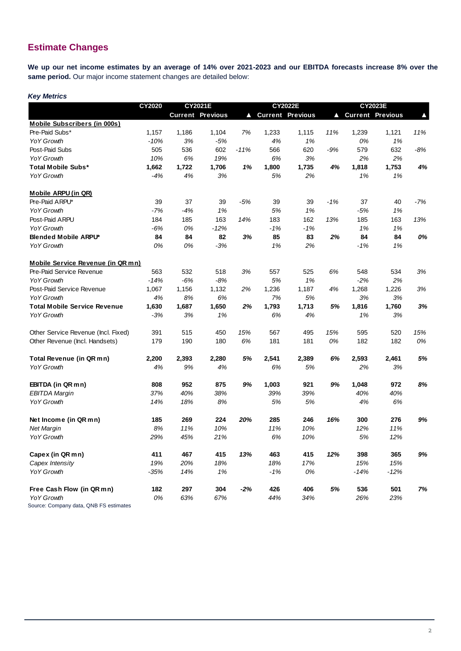# **Estimate Changes**

**We up our net income estimates by an average of 14% over 2021-2023 and our EBITDA forecasts increase 8% over the same period.** Our major income statement changes are detailed below:

## *Key Metrics*

|                                        | CY2020 | <b>CY2021E</b> |                         | <b>CY2022E</b> |                         |       | <b>CY2023E</b> |        |                         |       |
|----------------------------------------|--------|----------------|-------------------------|----------------|-------------------------|-------|----------------|--------|-------------------------|-------|
|                                        |        |                | <b>Current Previous</b> | A              | <b>Current Previous</b> |       | Δ              |        | <b>Current Previous</b> |       |
| <b>Mobile Subscribers (in 000s)</b>    |        |                |                         |                |                         |       |                |        |                         |       |
| Pre-Paid Subs*                         | 1,157  | 1,186          | 1,104                   | 7%             | 1,233                   | 1,115 | 11%            | 1,239  | 1,121                   | 11%   |
| <b>YoY Growth</b>                      | -10%   | 3%             | $-5%$                   |                | 4%                      | 1%    |                | 0%     | 1%                      |       |
| Post-Paid Subs                         | 505    | 536            | 602                     | $-11%$         | 566                     | 620   | $-9%$          | 579    | 632                     | $-8%$ |
| YoY Growth                             | 10%    | 6%             | 19%                     |                | 6%                      | 3%    |                | 2%     | 2%                      |       |
| <b>Total Mobile Subs*</b>              | 1,662  | 1,722          | 1,706                   | 1%             | 1,800                   | 1,735 | 4%             | 1,818  | 1,753                   | 4%    |
| <b>YoY Growth</b>                      | $-4%$  | 4%             | 3%                      |                | 5%                      | 2%    |                | 1%     | 1%                      |       |
| <b>Mobile ARPU (in QR)</b>             |        |                |                         |                |                         |       |                |        |                         |       |
| Pre-Paid ARPU*                         | 39     | 37             | 39                      | $-5%$          | 39                      | 39    | $-1%$          | 37     | 40                      | $-7%$ |
| <b>YoY Growth</b>                      | $-7%$  | $-4%$          | 1%                      |                | 5%                      | 1%    |                | $-5%$  | 1%                      |       |
| Post-Paid ARPU                         | 184    | 185            | 163                     | 14%            | 183                     | 162   | 13%            | 185    | 163                     | 13%   |
| <b>YoY Growth</b>                      | $-6%$  | 0%             | $-12%$                  |                | $-1%$                   | -1%   |                | 1%     | 1%                      |       |
| <b>Blended Mobile ARPU*</b>            | 84     | 84             | 82                      | 3%             | 85                      | 83    | 2%             | 84     | 84                      | 0%    |
| <b>YoY Growth</b>                      | 0%     | 0%             | $-3%$                   |                | 1%                      | 2%    |                | $-1%$  | 1%                      |       |
| Mobile Service Revenue (in QR mn)      |        |                |                         |                |                         |       |                |        |                         |       |
| Pre-Paid Service Revenue               | 563    | 532            | 518                     | 3%             | 557                     | 525   | 6%             | 548    | 534                     | 3%    |
| <b>YoY Growth</b>                      | $-14%$ | $-6%$          | $-8%$                   |                | 5%                      | 1%    |                | $-2%$  | 2%                      |       |
| Post-Paid Service Revenue              | 1,067  | 1,156          | 1,132                   | 2%             | 1,236                   | 1,187 | 4%             | 1,268  | 1,226                   | 3%    |
| <b>YoY Growth</b>                      | 4%     | 8%             | 6%                      |                | 7%                      | 5%    |                | 3%     | 3%                      |       |
| <b>Total Mobile Service Revenue</b>    | 1,630  | 1,687          | 1,650                   | 2%             | 1,793                   | 1,713 | 5%             | 1,816  | 1,760                   | 3%    |
| <b>YoY Growth</b>                      | $-3%$  | 3%             | 1%                      |                | 6%                      | 4%    |                | 1%     | 3%                      |       |
| Other Service Revenue (Incl. Fixed)    | 391    | 515            | 450                     | 15%            | 567                     | 495   | 15%            | 595    | 520                     | 15%   |
| Other Revenue (Incl. Handsets)         | 179    | 190            | 180                     | 6%             | 181                     | 181   | 0%             | 182    | 182                     | 0%    |
| <b>Total Revenue (in QR mn)</b>        | 2,200  | 2,393          | 2,280                   | 5%             | 2,541                   | 2,389 | 6%             | 2,593  | 2,461                   | 5%    |
| <b>YoY Growth</b>                      | 4%     | 9%             | 4%                      |                | 6%                      | 5%    |                | 2%     | 3%                      |       |
| EBITDA (in QR mn)                      | 808    | 952            | 875                     | 9%             | 1,003                   | 921   | 9%             | 1,048  | 972                     | 8%    |
| <b>EBITDA Margin</b>                   | 37%    | 40%            | 38%                     |                | 39%                     | 39%   |                | 40%    | 40%                     |       |
| <b>YoY Growth</b>                      | 14%    | 18%            | 8%                      |                | 5%                      | 5%    |                | 4%     | 6%                      |       |
| Net Income (in QR mn)                  | 185    | 269            | 224                     | 20%            | 285                     | 246   | 16%            | 300    | 276                     | 9%    |
| <b>Net Margin</b>                      | 8%     | 11%            | 10%                     |                | 11%                     | 10%   |                | 12%    | 11%                     |       |
| <b>YoY Growth</b>                      | 29%    | 45%            | 21%                     |                | 6%                      | 10%   |                | 5%     | 12%                     |       |
| Capex (in QR mn)                       | 411    | 467            | 415                     | 13%            | 463                     | 415   | 12%            | 398    | 365                     | 9%    |
| Capex Intensity                        | 19%    | 20%            | 18%                     |                | 18%                     | 17%   |                | 15%    | 15%                     |       |
| YoY Growth                             | $-35%$ | 14%            | 1%                      |                | $-1%$                   | 0%    |                | $-14%$ | $-12%$                  |       |
| Free Cash Flow (in QR mn)              | 182    | 297            | 304                     | $-2%$          | 426                     | 406   | 5%             | 536    | 501                     | $7%$  |
| YoY Growth                             | 0%     | 63%            | 67%                     |                | 44%                     | 34%   |                | 26%    | 23%                     |       |
| Source: Company data, QNB FS estimates |        |                |                         |                |                         |       |                |        |                         |       |

2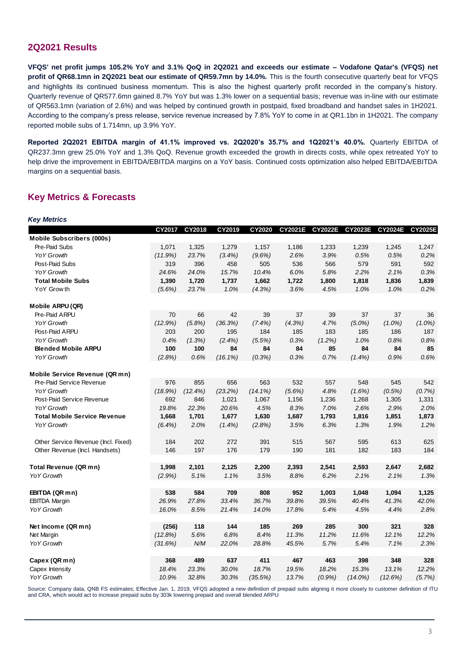## **2Q2021 Results**

**VFQS' net profit jumps 105.2% YoY and 3.1% QoQ in 2Q2021 and exceeds our estimate – Vodafone Qatar's (VFQS) net profit of QR68.1mn in 2Q2021 beat our estimate of QR59.7mn by 14.0%.** This is the fourth consecutive quarterly beat for VFQS and highlights its continued business momentum. This is also the highest quarterly profit recorded in the company's history. Quarterly revenue of QR577.6mn gained 8.7% YoY but was 1.3% lower on a sequential basis; revenue was in-line with our estimate of QR563.1mn (variation of 2.6%) and was helped by continued growth in postpaid, fixed broadband and handset sales in 1H2021. According to the company's press release, service revenue increased by 7.8% YoY to come in at QR1.1bn in 1H2021. The company reported mobile subs of 1.714mn, up 3.9% YoY.

**Reported 2Q2021 EBITDA margin of 41.1% improved vs. 2Q2020's 35.7% and 1Q2021's 40.0%.** Quarterly EBITDA of QR237.3mn grew 25.0% YoY and 1.3% QoQ. Revenue growth exceeded the growth in directs costs, while opex retreated YoY to help drive the improvement in EBITDA/EBITDA margins on a YoY basis. Continued costs optimization also helped EBITDA/EBITDA margins on a sequential basis.

## **Key Metrics & Forecasts**

| CY2017<br>CY2018<br>CY2019<br>CY2020<br><b>CY2021E</b><br><b>CY2022E</b><br><b>CY2023E</b><br><b>CY2024E</b><br><b>CY2025E</b><br><b>Mobile Subscribers (000s)</b><br>Pre-Paid Subs<br>1,071<br>1,325<br>1,279<br>1,157<br>1,186<br>1,233<br>1,239<br>1,245<br>1,247<br>YoY Growth<br>23.7%<br>$(9.6\%)$<br>2.6%<br>3.9%<br>0.5%<br>0.5%<br>0.2%<br>(11.9%)<br>$(3.4\%)$<br>579<br>591<br>592<br>Post-Paid Subs<br>319<br>396<br>458<br>505<br>536<br>566<br><b>YoY Growth</b><br>10.4%<br>6.0%<br>5.8%<br>0.3%<br>24.6%<br>24.0%<br>15.7%<br>2.2%<br>2.1%<br><b>Total Mobile Subs</b><br>1,390<br>1,720<br>1,737<br>1,662<br>1,722<br>1,800<br>1,818<br>1,836<br>1,839<br>23.7%<br>1.0%<br>(4.3%)<br>3.6%<br>4.5%<br>1.0%<br>1.0%<br>0.2%<br>YoY Grow th<br>$(5.6\%)$<br>Mobile ARPU (QR)<br>Pre-Paid ARPU<br>70<br>42<br>37<br>39<br>37<br>37<br>66<br>39<br>36<br><b>YoY Growth</b><br>(36.3%)<br>(7.4%)<br>(4.3%)<br>$(5.0\%)$<br>$(1.0\%)$<br>$(1.0\%)$<br>(12.9%)<br>$(5.8\%)$<br>4.7%<br>Post-Paid ARPU<br>200<br>195<br>184<br>185<br>183<br>185<br>186<br>187<br>203<br><b>YoY Growth</b><br>(1.3%)<br>0.8%<br>0.4%<br>(2.4%)<br>(5.5%)<br>0.3%<br>(1.2%)<br>1.0%<br>0.8%<br><b>Blended Mobile ARPU</b><br>100<br>100<br>84<br>85<br>84<br>84<br>85<br>84<br>84<br>YoY Growth<br>0.3%<br>0.9%<br>(2.8%)<br>0.6%<br>$(16.1\%)$<br>(0.3%)<br>0.7%<br>(1.4%)<br>0.6%<br>Mobile Service Revenue (QR mn)<br>Pre-Paid Service Revenue<br>976<br>855<br>656<br>563<br>532<br>557<br>548<br>545<br>542<br><b>YoY Growth</b><br>(18.9%)<br>(23.2%)<br>$(14.1\%)$<br>(5.6%)<br>4.8%<br>(1.6%)<br>(0.5%)<br>(12.4%)<br>(0.7%)<br>Post-Paid Service Revenue<br>692<br>1,021<br>1,067<br>1,156<br>1,236<br>1,305<br>846<br>1,268<br>1,331<br><b>YoY Growth</b><br>19.8%<br>22.3%<br>20.6%<br>4.5%<br>8.3%<br>7.0%<br>2.6%<br>2.9%<br>2.0%<br>1,630<br>1,687<br>1,851<br><b>Total Mobile Service Revenue</b><br>1,668<br>1,701<br>1,677<br>1,793<br>1,816<br>1,873<br><b>YoY Growth</b><br>2.0%<br>$(1.4\%)$<br>(2.8%)<br>3.5%<br>6.3%<br>1.3%<br>1.9%<br>1.2%<br>$(6.4\%)$<br>Other Service Revenue (Incl. Fixed)<br>184<br>202<br>272<br>391<br>515<br>567<br>595<br>613<br>625<br>197<br>176<br>179<br>190<br>181<br>182<br>183<br>184<br>Other Revenue (Incl. Handsets)<br>146<br><b>Total Revenue (QR mn)</b><br>1,998<br>2,101<br>2,125<br>2,200<br>2,393<br>2,541<br>2,593<br>2,647<br>2,682<br><b>YoY Growth</b><br>5.1%<br>1.1%<br>3.5%<br>8.8%<br>6.2%<br>2.1%<br>2.1%<br>1.3%<br>(2.9%<br>538<br>584<br>709<br>808<br>952<br>1,003<br>EBITDA (QR mn)<br>1,048<br>1,094<br>1,125<br>36.7%<br><b>EBITDA Margin</b><br>26.9%<br>27.8%<br>33.4%<br>39.8%<br>39.5%<br>40.4%<br>41.3%<br>42.0%<br><b>YoY Growth</b><br>16.0%<br>8.5%<br>21.4%<br>14.0%<br>17.8%<br>5.4%<br>4.5%<br>4.4%<br>2.8%<br>118<br>144<br>185<br>269<br>285<br>300<br>321<br>328<br>Net Income (QR mn)<br>(256)<br>11.2%<br>11.6%<br>12.1%<br>12.2%<br>Net Margin<br>(12.8%)<br>5.6%<br>6.8%<br>8.4%<br>11.3%<br>YoY Growth<br>N/M<br>7.1%<br>(31.6%)<br>22.0%<br>28.8%<br>45.5%<br>5.7%<br>5.4%<br>2.3%<br>489<br>411<br>467<br>Capex (QR mn)<br>368<br>637<br>463<br>398<br>348<br>328<br>Capex Intensity<br>18.4%<br>23.3%<br>30.0%<br>18.7%<br>19.5%<br>18.2%<br>15.3%<br>13.1%<br>12.2%<br>YoY Growth<br>10.9%<br>(35.5%)<br>13.7%<br>$(0.9\%)$<br>$(14.0\%)$<br>(5.7%)<br>32.8%<br>30.3%<br>(12.6%) | <b>Key Metrics</b> |  |  |  |  |  |
|----------------------------------------------------------------------------------------------------------------------------------------------------------------------------------------------------------------------------------------------------------------------------------------------------------------------------------------------------------------------------------------------------------------------------------------------------------------------------------------------------------------------------------------------------------------------------------------------------------------------------------------------------------------------------------------------------------------------------------------------------------------------------------------------------------------------------------------------------------------------------------------------------------------------------------------------------------------------------------------------------------------------------------------------------------------------------------------------------------------------------------------------------------------------------------------------------------------------------------------------------------------------------------------------------------------------------------------------------------------------------------------------------------------------------------------------------------------------------------------------------------------------------------------------------------------------------------------------------------------------------------------------------------------------------------------------------------------------------------------------------------------------------------------------------------------------------------------------------------------------------------------------------------------------------------------------------------------------------------------------------------------------------------------------------------------------------------------------------------------------------------------------------------------------------------------------------------------------------------------------------------------------------------------------------------------------------------------------------------------------------------------------------------------------------------------------------------------------------------------------------------------------------------------------------------------------------------------------------------------------------------------------------------------------------------------------------------------------------------------------------------------------------------------------------------------------------------------------------------------------------------------------------------------------------------------------------------------------------------------------------------------------------------------------------------------------------------------------------------------------------------------------------------------------------------------------------------------------------------------------------------------------------------------------------------------------------------------------------------------------------------|--------------------|--|--|--|--|--|
|                                                                                                                                                                                                                                                                                                                                                                                                                                                                                                                                                                                                                                                                                                                                                                                                                                                                                                                                                                                                                                                                                                                                                                                                                                                                                                                                                                                                                                                                                                                                                                                                                                                                                                                                                                                                                                                                                                                                                                                                                                                                                                                                                                                                                                                                                                                                                                                                                                                                                                                                                                                                                                                                                                                                                                                                                                                                                                                                                                                                                                                                                                                                                                                                                                                                                                                                                                                  |                    |  |  |  |  |  |
|                                                                                                                                                                                                                                                                                                                                                                                                                                                                                                                                                                                                                                                                                                                                                                                                                                                                                                                                                                                                                                                                                                                                                                                                                                                                                                                                                                                                                                                                                                                                                                                                                                                                                                                                                                                                                                                                                                                                                                                                                                                                                                                                                                                                                                                                                                                                                                                                                                                                                                                                                                                                                                                                                                                                                                                                                                                                                                                                                                                                                                                                                                                                                                                                                                                                                                                                                                                  |                    |  |  |  |  |  |
|                                                                                                                                                                                                                                                                                                                                                                                                                                                                                                                                                                                                                                                                                                                                                                                                                                                                                                                                                                                                                                                                                                                                                                                                                                                                                                                                                                                                                                                                                                                                                                                                                                                                                                                                                                                                                                                                                                                                                                                                                                                                                                                                                                                                                                                                                                                                                                                                                                                                                                                                                                                                                                                                                                                                                                                                                                                                                                                                                                                                                                                                                                                                                                                                                                                                                                                                                                                  |                    |  |  |  |  |  |
|                                                                                                                                                                                                                                                                                                                                                                                                                                                                                                                                                                                                                                                                                                                                                                                                                                                                                                                                                                                                                                                                                                                                                                                                                                                                                                                                                                                                                                                                                                                                                                                                                                                                                                                                                                                                                                                                                                                                                                                                                                                                                                                                                                                                                                                                                                                                                                                                                                                                                                                                                                                                                                                                                                                                                                                                                                                                                                                                                                                                                                                                                                                                                                                                                                                                                                                                                                                  |                    |  |  |  |  |  |
|                                                                                                                                                                                                                                                                                                                                                                                                                                                                                                                                                                                                                                                                                                                                                                                                                                                                                                                                                                                                                                                                                                                                                                                                                                                                                                                                                                                                                                                                                                                                                                                                                                                                                                                                                                                                                                                                                                                                                                                                                                                                                                                                                                                                                                                                                                                                                                                                                                                                                                                                                                                                                                                                                                                                                                                                                                                                                                                                                                                                                                                                                                                                                                                                                                                                                                                                                                                  |                    |  |  |  |  |  |
|                                                                                                                                                                                                                                                                                                                                                                                                                                                                                                                                                                                                                                                                                                                                                                                                                                                                                                                                                                                                                                                                                                                                                                                                                                                                                                                                                                                                                                                                                                                                                                                                                                                                                                                                                                                                                                                                                                                                                                                                                                                                                                                                                                                                                                                                                                                                                                                                                                                                                                                                                                                                                                                                                                                                                                                                                                                                                                                                                                                                                                                                                                                                                                                                                                                                                                                                                                                  |                    |  |  |  |  |  |
|                                                                                                                                                                                                                                                                                                                                                                                                                                                                                                                                                                                                                                                                                                                                                                                                                                                                                                                                                                                                                                                                                                                                                                                                                                                                                                                                                                                                                                                                                                                                                                                                                                                                                                                                                                                                                                                                                                                                                                                                                                                                                                                                                                                                                                                                                                                                                                                                                                                                                                                                                                                                                                                                                                                                                                                                                                                                                                                                                                                                                                                                                                                                                                                                                                                                                                                                                                                  |                    |  |  |  |  |  |
|                                                                                                                                                                                                                                                                                                                                                                                                                                                                                                                                                                                                                                                                                                                                                                                                                                                                                                                                                                                                                                                                                                                                                                                                                                                                                                                                                                                                                                                                                                                                                                                                                                                                                                                                                                                                                                                                                                                                                                                                                                                                                                                                                                                                                                                                                                                                                                                                                                                                                                                                                                                                                                                                                                                                                                                                                                                                                                                                                                                                                                                                                                                                                                                                                                                                                                                                                                                  |                    |  |  |  |  |  |
|                                                                                                                                                                                                                                                                                                                                                                                                                                                                                                                                                                                                                                                                                                                                                                                                                                                                                                                                                                                                                                                                                                                                                                                                                                                                                                                                                                                                                                                                                                                                                                                                                                                                                                                                                                                                                                                                                                                                                                                                                                                                                                                                                                                                                                                                                                                                                                                                                                                                                                                                                                                                                                                                                                                                                                                                                                                                                                                                                                                                                                                                                                                                                                                                                                                                                                                                                                                  |                    |  |  |  |  |  |
|                                                                                                                                                                                                                                                                                                                                                                                                                                                                                                                                                                                                                                                                                                                                                                                                                                                                                                                                                                                                                                                                                                                                                                                                                                                                                                                                                                                                                                                                                                                                                                                                                                                                                                                                                                                                                                                                                                                                                                                                                                                                                                                                                                                                                                                                                                                                                                                                                                                                                                                                                                                                                                                                                                                                                                                                                                                                                                                                                                                                                                                                                                                                                                                                                                                                                                                                                                                  |                    |  |  |  |  |  |
|                                                                                                                                                                                                                                                                                                                                                                                                                                                                                                                                                                                                                                                                                                                                                                                                                                                                                                                                                                                                                                                                                                                                                                                                                                                                                                                                                                                                                                                                                                                                                                                                                                                                                                                                                                                                                                                                                                                                                                                                                                                                                                                                                                                                                                                                                                                                                                                                                                                                                                                                                                                                                                                                                                                                                                                                                                                                                                                                                                                                                                                                                                                                                                                                                                                                                                                                                                                  |                    |  |  |  |  |  |
|                                                                                                                                                                                                                                                                                                                                                                                                                                                                                                                                                                                                                                                                                                                                                                                                                                                                                                                                                                                                                                                                                                                                                                                                                                                                                                                                                                                                                                                                                                                                                                                                                                                                                                                                                                                                                                                                                                                                                                                                                                                                                                                                                                                                                                                                                                                                                                                                                                                                                                                                                                                                                                                                                                                                                                                                                                                                                                                                                                                                                                                                                                                                                                                                                                                                                                                                                                                  |                    |  |  |  |  |  |
|                                                                                                                                                                                                                                                                                                                                                                                                                                                                                                                                                                                                                                                                                                                                                                                                                                                                                                                                                                                                                                                                                                                                                                                                                                                                                                                                                                                                                                                                                                                                                                                                                                                                                                                                                                                                                                                                                                                                                                                                                                                                                                                                                                                                                                                                                                                                                                                                                                                                                                                                                                                                                                                                                                                                                                                                                                                                                                                                                                                                                                                                                                                                                                                                                                                                                                                                                                                  |                    |  |  |  |  |  |
|                                                                                                                                                                                                                                                                                                                                                                                                                                                                                                                                                                                                                                                                                                                                                                                                                                                                                                                                                                                                                                                                                                                                                                                                                                                                                                                                                                                                                                                                                                                                                                                                                                                                                                                                                                                                                                                                                                                                                                                                                                                                                                                                                                                                                                                                                                                                                                                                                                                                                                                                                                                                                                                                                                                                                                                                                                                                                                                                                                                                                                                                                                                                                                                                                                                                                                                                                                                  |                    |  |  |  |  |  |
|                                                                                                                                                                                                                                                                                                                                                                                                                                                                                                                                                                                                                                                                                                                                                                                                                                                                                                                                                                                                                                                                                                                                                                                                                                                                                                                                                                                                                                                                                                                                                                                                                                                                                                                                                                                                                                                                                                                                                                                                                                                                                                                                                                                                                                                                                                                                                                                                                                                                                                                                                                                                                                                                                                                                                                                                                                                                                                                                                                                                                                                                                                                                                                                                                                                                                                                                                                                  |                    |  |  |  |  |  |
|                                                                                                                                                                                                                                                                                                                                                                                                                                                                                                                                                                                                                                                                                                                                                                                                                                                                                                                                                                                                                                                                                                                                                                                                                                                                                                                                                                                                                                                                                                                                                                                                                                                                                                                                                                                                                                                                                                                                                                                                                                                                                                                                                                                                                                                                                                                                                                                                                                                                                                                                                                                                                                                                                                                                                                                                                                                                                                                                                                                                                                                                                                                                                                                                                                                                                                                                                                                  |                    |  |  |  |  |  |
|                                                                                                                                                                                                                                                                                                                                                                                                                                                                                                                                                                                                                                                                                                                                                                                                                                                                                                                                                                                                                                                                                                                                                                                                                                                                                                                                                                                                                                                                                                                                                                                                                                                                                                                                                                                                                                                                                                                                                                                                                                                                                                                                                                                                                                                                                                                                                                                                                                                                                                                                                                                                                                                                                                                                                                                                                                                                                                                                                                                                                                                                                                                                                                                                                                                                                                                                                                                  |                    |  |  |  |  |  |
|                                                                                                                                                                                                                                                                                                                                                                                                                                                                                                                                                                                                                                                                                                                                                                                                                                                                                                                                                                                                                                                                                                                                                                                                                                                                                                                                                                                                                                                                                                                                                                                                                                                                                                                                                                                                                                                                                                                                                                                                                                                                                                                                                                                                                                                                                                                                                                                                                                                                                                                                                                                                                                                                                                                                                                                                                                                                                                                                                                                                                                                                                                                                                                                                                                                                                                                                                                                  |                    |  |  |  |  |  |
|                                                                                                                                                                                                                                                                                                                                                                                                                                                                                                                                                                                                                                                                                                                                                                                                                                                                                                                                                                                                                                                                                                                                                                                                                                                                                                                                                                                                                                                                                                                                                                                                                                                                                                                                                                                                                                                                                                                                                                                                                                                                                                                                                                                                                                                                                                                                                                                                                                                                                                                                                                                                                                                                                                                                                                                                                                                                                                                                                                                                                                                                                                                                                                                                                                                                                                                                                                                  |                    |  |  |  |  |  |
|                                                                                                                                                                                                                                                                                                                                                                                                                                                                                                                                                                                                                                                                                                                                                                                                                                                                                                                                                                                                                                                                                                                                                                                                                                                                                                                                                                                                                                                                                                                                                                                                                                                                                                                                                                                                                                                                                                                                                                                                                                                                                                                                                                                                                                                                                                                                                                                                                                                                                                                                                                                                                                                                                                                                                                                                                                                                                                                                                                                                                                                                                                                                                                                                                                                                                                                                                                                  |                    |  |  |  |  |  |
|                                                                                                                                                                                                                                                                                                                                                                                                                                                                                                                                                                                                                                                                                                                                                                                                                                                                                                                                                                                                                                                                                                                                                                                                                                                                                                                                                                                                                                                                                                                                                                                                                                                                                                                                                                                                                                                                                                                                                                                                                                                                                                                                                                                                                                                                                                                                                                                                                                                                                                                                                                                                                                                                                                                                                                                                                                                                                                                                                                                                                                                                                                                                                                                                                                                                                                                                                                                  |                    |  |  |  |  |  |
|                                                                                                                                                                                                                                                                                                                                                                                                                                                                                                                                                                                                                                                                                                                                                                                                                                                                                                                                                                                                                                                                                                                                                                                                                                                                                                                                                                                                                                                                                                                                                                                                                                                                                                                                                                                                                                                                                                                                                                                                                                                                                                                                                                                                                                                                                                                                                                                                                                                                                                                                                                                                                                                                                                                                                                                                                                                                                                                                                                                                                                                                                                                                                                                                                                                                                                                                                                                  |                    |  |  |  |  |  |
|                                                                                                                                                                                                                                                                                                                                                                                                                                                                                                                                                                                                                                                                                                                                                                                                                                                                                                                                                                                                                                                                                                                                                                                                                                                                                                                                                                                                                                                                                                                                                                                                                                                                                                                                                                                                                                                                                                                                                                                                                                                                                                                                                                                                                                                                                                                                                                                                                                                                                                                                                                                                                                                                                                                                                                                                                                                                                                                                                                                                                                                                                                                                                                                                                                                                                                                                                                                  |                    |  |  |  |  |  |
|                                                                                                                                                                                                                                                                                                                                                                                                                                                                                                                                                                                                                                                                                                                                                                                                                                                                                                                                                                                                                                                                                                                                                                                                                                                                                                                                                                                                                                                                                                                                                                                                                                                                                                                                                                                                                                                                                                                                                                                                                                                                                                                                                                                                                                                                                                                                                                                                                                                                                                                                                                                                                                                                                                                                                                                                                                                                                                                                                                                                                                                                                                                                                                                                                                                                                                                                                                                  |                    |  |  |  |  |  |
|                                                                                                                                                                                                                                                                                                                                                                                                                                                                                                                                                                                                                                                                                                                                                                                                                                                                                                                                                                                                                                                                                                                                                                                                                                                                                                                                                                                                                                                                                                                                                                                                                                                                                                                                                                                                                                                                                                                                                                                                                                                                                                                                                                                                                                                                                                                                                                                                                                                                                                                                                                                                                                                                                                                                                                                                                                                                                                                                                                                                                                                                                                                                                                                                                                                                                                                                                                                  |                    |  |  |  |  |  |
|                                                                                                                                                                                                                                                                                                                                                                                                                                                                                                                                                                                                                                                                                                                                                                                                                                                                                                                                                                                                                                                                                                                                                                                                                                                                                                                                                                                                                                                                                                                                                                                                                                                                                                                                                                                                                                                                                                                                                                                                                                                                                                                                                                                                                                                                                                                                                                                                                                                                                                                                                                                                                                                                                                                                                                                                                                                                                                                                                                                                                                                                                                                                                                                                                                                                                                                                                                                  |                    |  |  |  |  |  |
|                                                                                                                                                                                                                                                                                                                                                                                                                                                                                                                                                                                                                                                                                                                                                                                                                                                                                                                                                                                                                                                                                                                                                                                                                                                                                                                                                                                                                                                                                                                                                                                                                                                                                                                                                                                                                                                                                                                                                                                                                                                                                                                                                                                                                                                                                                                                                                                                                                                                                                                                                                                                                                                                                                                                                                                                                                                                                                                                                                                                                                                                                                                                                                                                                                                                                                                                                                                  |                    |  |  |  |  |  |
|                                                                                                                                                                                                                                                                                                                                                                                                                                                                                                                                                                                                                                                                                                                                                                                                                                                                                                                                                                                                                                                                                                                                                                                                                                                                                                                                                                                                                                                                                                                                                                                                                                                                                                                                                                                                                                                                                                                                                                                                                                                                                                                                                                                                                                                                                                                                                                                                                                                                                                                                                                                                                                                                                                                                                                                                                                                                                                                                                                                                                                                                                                                                                                                                                                                                                                                                                                                  |                    |  |  |  |  |  |
|                                                                                                                                                                                                                                                                                                                                                                                                                                                                                                                                                                                                                                                                                                                                                                                                                                                                                                                                                                                                                                                                                                                                                                                                                                                                                                                                                                                                                                                                                                                                                                                                                                                                                                                                                                                                                                                                                                                                                                                                                                                                                                                                                                                                                                                                                                                                                                                                                                                                                                                                                                                                                                                                                                                                                                                                                                                                                                                                                                                                                                                                                                                                                                                                                                                                                                                                                                                  |                    |  |  |  |  |  |
|                                                                                                                                                                                                                                                                                                                                                                                                                                                                                                                                                                                                                                                                                                                                                                                                                                                                                                                                                                                                                                                                                                                                                                                                                                                                                                                                                                                                                                                                                                                                                                                                                                                                                                                                                                                                                                                                                                                                                                                                                                                                                                                                                                                                                                                                                                                                                                                                                                                                                                                                                                                                                                                                                                                                                                                                                                                                                                                                                                                                                                                                                                                                                                                                                                                                                                                                                                                  |                    |  |  |  |  |  |
|                                                                                                                                                                                                                                                                                                                                                                                                                                                                                                                                                                                                                                                                                                                                                                                                                                                                                                                                                                                                                                                                                                                                                                                                                                                                                                                                                                                                                                                                                                                                                                                                                                                                                                                                                                                                                                                                                                                                                                                                                                                                                                                                                                                                                                                                                                                                                                                                                                                                                                                                                                                                                                                                                                                                                                                                                                                                                                                                                                                                                                                                                                                                                                                                                                                                                                                                                                                  |                    |  |  |  |  |  |
|                                                                                                                                                                                                                                                                                                                                                                                                                                                                                                                                                                                                                                                                                                                                                                                                                                                                                                                                                                                                                                                                                                                                                                                                                                                                                                                                                                                                                                                                                                                                                                                                                                                                                                                                                                                                                                                                                                                                                                                                                                                                                                                                                                                                                                                                                                                                                                                                                                                                                                                                                                                                                                                                                                                                                                                                                                                                                                                                                                                                                                                                                                                                                                                                                                                                                                                                                                                  |                    |  |  |  |  |  |
|                                                                                                                                                                                                                                                                                                                                                                                                                                                                                                                                                                                                                                                                                                                                                                                                                                                                                                                                                                                                                                                                                                                                                                                                                                                                                                                                                                                                                                                                                                                                                                                                                                                                                                                                                                                                                                                                                                                                                                                                                                                                                                                                                                                                                                                                                                                                                                                                                                                                                                                                                                                                                                                                                                                                                                                                                                                                                                                                                                                                                                                                                                                                                                                                                                                                                                                                                                                  |                    |  |  |  |  |  |
|                                                                                                                                                                                                                                                                                                                                                                                                                                                                                                                                                                                                                                                                                                                                                                                                                                                                                                                                                                                                                                                                                                                                                                                                                                                                                                                                                                                                                                                                                                                                                                                                                                                                                                                                                                                                                                                                                                                                                                                                                                                                                                                                                                                                                                                                                                                                                                                                                                                                                                                                                                                                                                                                                                                                                                                                                                                                                                                                                                                                                                                                                                                                                                                                                                                                                                                                                                                  |                    |  |  |  |  |  |
|                                                                                                                                                                                                                                                                                                                                                                                                                                                                                                                                                                                                                                                                                                                                                                                                                                                                                                                                                                                                                                                                                                                                                                                                                                                                                                                                                                                                                                                                                                                                                                                                                                                                                                                                                                                                                                                                                                                                                                                                                                                                                                                                                                                                                                                                                                                                                                                                                                                                                                                                                                                                                                                                                                                                                                                                                                                                                                                                                                                                                                                                                                                                                                                                                                                                                                                                                                                  |                    |  |  |  |  |  |

Source: Company data, QNB FS estimates; Effective Jan. 1, 2019, VFQS adopted a new definition of prepaid subs aligning it more closely to customer definition of ITU and CRA, which would act to increase prepaid subs by 303k lowering prepaid and overall blended ARPU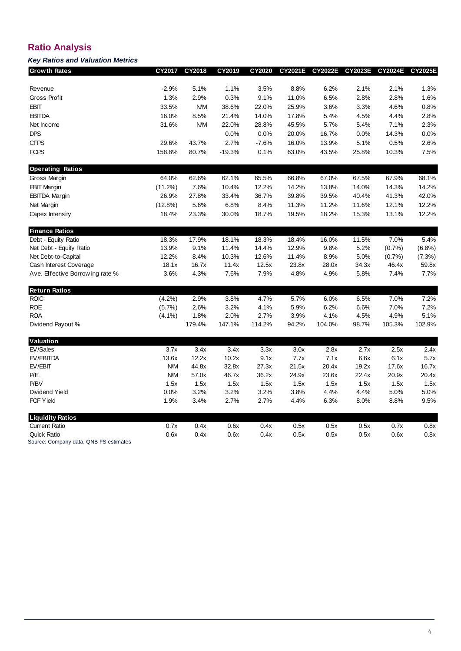# **Ratio Analysis**

## *Key Ratios and Valuation Metrics*

| <b>Growth Rates</b>              | CY2017     | CY2018     | CY2019   | CY2020  | <b>CY2021E</b> | <b>CY2022E</b> | CY2023E | <b>CY2024E</b> | <b>CY2025E</b> |
|----------------------------------|------------|------------|----------|---------|----------------|----------------|---------|----------------|----------------|
|                                  |            |            |          |         |                |                |         |                |                |
| Revenue                          | $-2.9%$    | 5.1%       | 1.1%     | 3.5%    | 8.8%           | 6.2%           | 2.1%    | 2.1%           | 1.3%           |
| Gross Profit                     | 1.3%       | 2.9%       | 0.3%     | 9.1%    | 11.0%          | 6.5%           | 2.8%    | 2.8%           | 1.6%           |
| <b>EBIT</b>                      | 33.5%      | <b>N/M</b> | 38.6%    | 22.0%   | 25.9%          | 3.6%           | 3.3%    | 4.6%           | 0.8%           |
| <b>EBITDA</b>                    | 16.0%      | 8.5%       | 21.4%    | 14.0%   | 17.8%          | 5.4%           | 4.5%    | 4.4%           | 2.8%           |
| Net Income                       | 31.6%      | <b>N/M</b> | 22.0%    | 28.8%   | 45.5%          | 5.7%           | 5.4%    | 7.1%           | 2.3%           |
| DPS                              |            |            | 0.0%     | 0.0%    | 20.0%          | 16.7%          | 0.0%    | 14.3%          | 0.0%           |
| <b>CFPS</b>                      | 29.6%      | 43.7%      | 2.7%     | $-7.6%$ | 16.0%          | 13.9%          | 5.1%    | 0.5%           | 2.6%           |
| <b>FCPS</b>                      | 158.8%     | 80.7%      | $-19.3%$ | 0.1%    | 63.0%          | 43.5%          | 25.8%   | 10.3%          | 7.5%           |
| <b>Operating Ratios</b>          |            |            |          |         |                |                |         |                |                |
| Gross Margin                     | 64.0%      | 62.6%      | 62.1%    | 65.5%   | 66.8%          | 67.0%          | 67.5%   | 67.9%          | 68.1%          |
| <b>EBIT Margin</b>               | (11.2%)    | 7.6%       | 10.4%    | 12.2%   | 14.2%          | 13.8%          | 14.0%   | 14.3%          | 14.2%          |
| <b>EBITDA Margin</b>             | 26.9%      | 27.8%      | 33.4%    | 36.7%   | 39.8%          | 39.5%          | 40.4%   | 41.3%          | 42.0%          |
| Net Margin                       | (12.8%)    | 5.6%       | 6.8%     | 8.4%    | 11.3%          | 11.2%          | 11.6%   | 12.1%          | 12.2%          |
| Capex Intensity                  | 18.4%      | 23.3%      | 30.0%    | 18.7%   | 19.5%          | 18.2%          | 15.3%   | 13.1%          | 12.2%          |
| <b>Finance Ratios</b>            |            |            |          |         |                |                |         |                |                |
| Debt - Equity Ratio              | 18.3%      | 17.9%      | 18.1%    | 18.3%   | 18.4%          | 16.0%          | 11.5%   | 7.0%           | 5.4%           |
| Net Debt - Equity Ratio          | 13.9%      | 9.1%       | 11.4%    | 14.4%   | 12.9%          | 9.8%           | 5.2%    | (0.7%          | (6.8%)         |
| Net Debt-to-Capital              | 12.2%      | 8.4%       | 10.3%    | 12.6%   | 11.4%          | 8.9%           | 5.0%    | (0.7%          | (7.3%)         |
| Cash Interest Coverage           | 18.1x      | 16.7x      | 11.4x    | 12.5x   | 23.8x          | 28.0x          | 34.3x   | 46.4x          | 59.8x          |
| Ave. Effective Borrow ing rate % | 3.6%       | 4.3%       | 7.6%     | 7.9%    | 4.8%           | 4.9%           | 5.8%    | 7.4%           | 7.7%           |
| <b>Return Ratios</b>             |            |            |          |         |                |                |         |                |                |
| <b>ROIC</b>                      | (4.2%)     | 2.9%       | 3.8%     | 4.7%    | 5.7%           | 6.0%           | 6.5%    | 7.0%           | 7.2%           |
| <b>ROE</b>                       | $(5.7\%)$  | 2.6%       | 3.2%     | 4.1%    | 5.9%           | 6.2%           | 6.6%    | 7.0%           | 7.2%           |
| <b>ROA</b>                       | $(4.1\%)$  | 1.8%       | 2.0%     | 2.7%    | 3.9%           | 4.1%           | 4.5%    | 4.9%           | 5.1%           |
| Dividend Payout %                |            | 179.4%     | 147.1%   | 114.2%  | 94.2%          | 104.0%         | 98.7%   | 105.3%         | 102.9%         |
| Valuation                        |            |            |          |         |                |                |         |                |                |
| EV/Sales                         | 3.7x       | 3.4x       | 3.4x     | 3.3x    | 3.0x           | 2.8x           | 2.7x    | 2.5x           | 2.4x           |
| EV/EBITDA                        | 13.6x      | 12.2x      | 10.2x    | 9.1x    | 7.7x           | 7.1x           | 6.6x    | 6.1x           | 5.7x           |
| EV/EBIT                          | <b>N/M</b> | 44.8x      | 32.8x    | 27.3x   | 21.5x          | 20.4x          | 19.2x   | 17.6x          | 16.7x          |
| P/E                              | <b>N/M</b> | 57.0x      | 46.7x    | 36.2x   | 24.9x          | 23.6x          | 22.4x   | 20.9x          | 20.4x          |
| P/BV                             | 1.5x       | 1.5x       | 1.5x     | 1.5x    | 1.5x           | 1.5x           | 1.5x    | 1.5x           | 1.5x           |
| Dividend Yield                   | 0.0%       | 3.2%       | 3.2%     | 3.2%    | 3.8%           | 4.4%           | 4.4%    | 5.0%           | 5.0%           |
| <b>FCF Yield</b>                 | 1.9%       | 3.4%       | 2.7%     | 2.7%    | 4.4%           | 6.3%           | 8.0%    | 8.8%           | 9.5%           |
| <b>Liquidity Ratios</b>          |            |            |          |         |                |                |         |                |                |
| <b>Current Ratio</b>             | 0.7x       | 0.4x       | 0.6x     | 0.4x    | 0.5x           | 0.5x           | 0.5x    | 0.7x           | 0.8x           |
| <b>Quick Ratio</b>               | 0.6x       | 0.4x       | 0.6x     | 0.4x    | 0.5x           | 0.5x           | 0.5x    | 0.6x           | 0.8x           |

Source: Company data, QNB FS estimates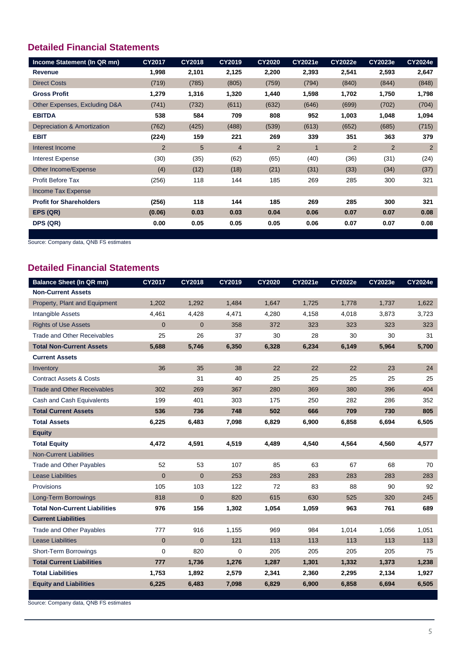# **Detailed Financial Statements**

| Income Statement (In QR mn)    | <b>CY2017</b>  | <b>CY2018</b> | <b>CY2019</b>  | <b>CY2020</b>  | <b>CY2021e</b> | <b>CY2022e</b> | <b>CY2023e</b> | <b>CY2024e</b> |
|--------------------------------|----------------|---------------|----------------|----------------|----------------|----------------|----------------|----------------|
| Revenue                        | 1,998          | 2,101         | 2,125          | 2,200          | 2,393          | 2,541          | 2,593          | 2,647          |
| <b>Direct Costs</b>            | (719)          | (785)         | (805)          | (759)          | (794)          | (840)          | (844)          | (848)          |
| <b>Gross Profit</b>            | 1,279          | 1,316         | 1,320          | 1,440          | 1,598          | 1,702          | 1,750          | 1,798          |
| Other Expenses, Excluding D&A  | (741)          | (732)         | (611)          | (632)          | (646)          | (699)          | (702)          | (704)          |
| <b>EBITDA</b>                  | 538            | 584           | 709            | 808            | 952            | 1,003          | 1,048          | 1,094          |
| Depreciation & Amortization    | (762)          | (425)         | (488)          | (539)          | (613)          | (652)          | (685)          | (715)          |
| <b>EBIT</b>                    | (224)          | 159           | 221            | 269            | 339            | 351            | 363            | 379            |
| Interest Income                | $\overline{2}$ | 5             | $\overline{4}$ | $\overline{2}$ | 1              | $\overline{2}$ | $\overline{2}$ | $\overline{2}$ |
| <b>Interest Expense</b>        | (30)           | (35)          | (62)           | (65)           | (40)           | (36)           | (31)           | (24)           |
| Other Income/Expense           | (4)            | (12)          | (18)           | (21)           | (31)           | (33)           | (34)           | (37)           |
| <b>Profit Before Tax</b>       | (256)          | 118           | 144            | 185            | 269            | 285            | 300            | 321            |
| <b>Income Tax Expense</b>      |                |               |                |                |                |                |                |                |
| <b>Profit for Shareholders</b> | (256)          | 118           | 144            | 185            | 269            | 285            | 300            | 321            |
| EPS (QR)                       | (0.06)         | 0.03          | 0.03           | 0.04           | 0.06           | 0.07           | 0.07           | 0.08           |
| DPS (QR)                       | 0.00           | 0.05          | 0.05           | 0.05           | 0.06           | 0.07           | 0.07           | 0.08           |
|                                |                |               |                |                |                |                |                |                |

Source: Company data, QNB FS estimates

# **Detailed Financial Statements**

| <b>Balance Sheet (In QR mn)</b>      | <b>CY2017</b>  | <b>CY2018</b>  | <b>CY2019</b> | <b>CY2020</b> | <b>CY2021e</b> | <b>CY2022e</b> | <b>CY2023e</b> | <b>CY2024e</b> |
|--------------------------------------|----------------|----------------|---------------|---------------|----------------|----------------|----------------|----------------|
| <b>Non-Current Assets</b>            |                |                |               |               |                |                |                |                |
| Property, Plant and Equipment        | 1,202          | 1,292          | 1,484         | 1,647         | 1,725          | 1,778          | 1,737          | 1,622          |
| <b>Intangible Assets</b>             | 4,461          | 4,428          | 4,471         | 4,280         | 4,158          | 4,018          | 3,873          | 3,723          |
| <b>Rights of Use Assets</b>          | $\mathbf{0}$   | $\mathbf{0}$   | 358           | 372           | 323            | 323            | 323            | 323            |
| Trade and Other Receivables          | 25             | 26             | 37            | 30            | 28             | 30             | 30             | 31             |
| <b>Total Non-Current Assets</b>      | 5,688          | 5,746          | 6,350         | 6,328         | 6,234          | 6,149          | 5,964          | 5,700          |
| <b>Current Assets</b>                |                |                |               |               |                |                |                |                |
| Inventory                            | 36             | 35             | 38            | 22            | 22             | 22             | 23             | 24             |
| <b>Contract Assets &amp; Costs</b>   |                | 31             | 40            | 25            | 25             | 25             | 25             | 25             |
| <b>Trade and Other Receivables</b>   | 302            | 269            | 367           | 280           | 369            | 380            | 396            | 404            |
| Cash and Cash Equivalents            | 199            | 401            | 303           | 175           | 250            | 282            | 286            | 352            |
| <b>Total Current Assets</b>          | 536            | 736            | 748           | 502           | 666            | 709            | 730            | 805            |
| <b>Total Assets</b>                  | 6,225          | 6,483          | 7,098         | 6,829         | 6,900          | 6,858          | 6,694          | 6,505          |
| <b>Equity</b>                        |                |                |               |               |                |                |                |                |
| <b>Total Equity</b>                  | 4.472          | 4,591          | 4,519         | 4,489         | 4.540          | 4,564          | 4.560          | 4,577          |
| <b>Non-Current Liabilities</b>       |                |                |               |               |                |                |                |                |
| Trade and Other Payables             | 52             | 53             | 107           | 85            | 63             | 67             | 68             | 70             |
| <b>Lease Liabilities</b>             | $\overline{0}$ | $\overline{0}$ | 253           | 283           | 283            | 283            | 283            | 283            |
| Provisions                           | 105            | 103            | 122           | 72            | 83             | 88             | 90             | 92             |
| Long-Term Borrowings                 | 818            | $\mathbf 0$    | 820           | 615           | 630            | 525            | 320            | 245            |
| <b>Total Non-Current Liabilities</b> | 976            | 156            | 1,302         | 1,054         | 1,059          | 963            | 761            | 689            |
| <b>Current Liabilities</b>           |                |                |               |               |                |                |                |                |
| <b>Trade and Other Payables</b>      | 777            | 916            | 1,155         | 969           | 984            | 1,014          | 1,056          | 1,051          |
| <b>Lease Liabilities</b>             | $\pmb{0}$      | $\mathbf 0$    | 121           | 113           | 113            | 113            | 113            | 113            |
| <b>Short-Term Borrowings</b>         | 0              | 820            | 0             | 205           | 205            | 205            | 205            | 75             |
| <b>Total Current Liabilities</b>     | 777            | 1,736          | 1,276         | 1,287         | 1,301          | 1,332          | 1,373          | 1,238          |
| <b>Total Liabilities</b>             | 1,753          | 1,892          | 2,579         | 2,341         | 2,360          | 2,295          | 2,134          | 1,927          |
| <b>Equity and Liabilities</b>        | 6,225          | 6,483          | 7,098         | 6,829         | 6,900          | 6,858          | 6,694          | 6,505          |

Source: Company data, QNB FS estimates